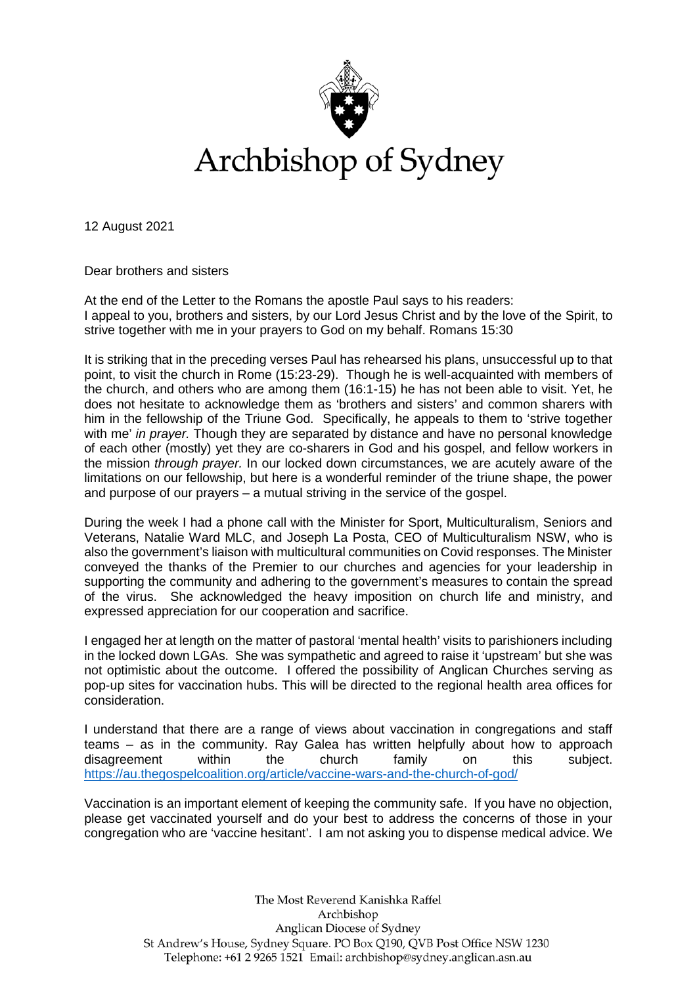

Archbishop of Sydney

12 August 2021

Dear brothers and sisters

At the end of the Letter to the Romans the apostle Paul says to his readers: I appeal to you, brothers and sisters, by our Lord Jesus Christ and by the love of the Spirit, to strive together with me in your prayers to God on my behalf. Romans 15:30

It is striking that in the preceding verses Paul has rehearsed his plans, unsuccessful up to that point, to visit the church in Rome (15:23-29). Though he is well-acquainted with members of the church, and others who are among them (16:1-15) he has not been able to visit. Yet, he does not hesitate to acknowledge them as 'brothers and sisters' and common sharers with him in the fellowship of the Triune God. Specifically, he appeals to them to 'strive together with me' *in prayer.* Though they are separated by distance and have no personal knowledge of each other (mostly) yet they are co-sharers in God and his gospel, and fellow workers in the mission *through prayer.* In our locked down circumstances, we are acutely aware of the limitations on our fellowship, but here is a wonderful reminder of the triune shape, the power and purpose of our prayers – a mutual striving in the service of the gospel.

During the week I had a phone call with the Minister for Sport, Multiculturalism, Seniors and Veterans, Natalie Ward MLC, and Joseph La Posta, CEO of Multiculturalism NSW, who is also the government's liaison with multicultural communities on Covid responses. The Minister conveyed the thanks of the Premier to our churches and agencies for your leadership in supporting the community and adhering to the government's measures to contain the spread of the virus. She acknowledged the heavy imposition on church life and ministry, and expressed appreciation for our cooperation and sacrifice.

I engaged her at length on the matter of pastoral 'mental health' visits to parishioners including in the locked down LGAs. She was sympathetic and agreed to raise it 'upstream' but she was not optimistic about the outcome. I offered the possibility of Anglican Churches serving as pop-up sites for vaccination hubs. This will be directed to the regional health area offices for consideration.

I understand that there are a range of views about vaccination in congregations and staff teams – as in the community. Ray Galea has written helpfully about how to approach disagreement within the church family on this subject. <https://au.thegospelcoalition.org/article/vaccine-wars-and-the-church-of-god/>

Vaccination is an important element of keeping the community safe. If you have no objection, please get vaccinated yourself and do your best to address the concerns of those in your congregation who are 'vaccine hesitant'. I am not asking you to dispense medical advice. We

> The Most Reverend Kanishka Raffel Archbishop Anglican Diocese of Sydney St Andrew's House, Sydney Square. PO Box Q190, QVB Post Office NSW 1230 Telephone: +61 2 9265 1521 Email: archbishop@sydney.anglican.asn.au